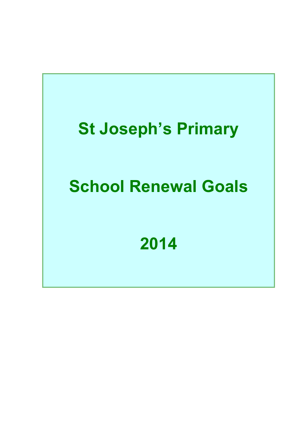# **St Joseph's Primary School Renewal Goals 2014**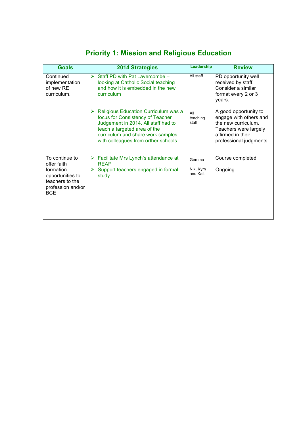| <b>Goals</b>                                                                        | <b>2014 Strategies</b>                                                                                                                                                                                                                   | Leadership               | <b>Review</b>                                                                                                                                   |
|-------------------------------------------------------------------------------------|------------------------------------------------------------------------------------------------------------------------------------------------------------------------------------------------------------------------------------------|--------------------------|-------------------------------------------------------------------------------------------------------------------------------------------------|
| Continued<br>implementation<br>of new RE<br>curriculum.                             | Staff PD with Pat Lavercombe -<br>➤<br>looking at Catholic Social teaching<br>and how it is embedded in the new<br>curriculum                                                                                                            | All staff                | PD opportunity well<br>received by staff.<br>Consider a similar<br>format every 2 or 3<br>years.                                                |
|                                                                                     | <b>Religious Education Curriculum was a</b><br>➤<br>focus for Consistency of Teacher<br>Judgement in 2014. All staff had to<br>teach a targeted area of the<br>curriculum and share work samples<br>with colleagues from orther schools. | All<br>teaching<br>staff | A good opportunity to<br>engage with others and<br>the new curriculum.<br>Teachers were largely<br>affirmed in their<br>professional judgments. |
| To continue to<br>offer faith                                                       | Facilitate Mrs Lynch's attendance at<br>➤<br><b>REAP</b>                                                                                                                                                                                 | Gemma                    | Course completed                                                                                                                                |
| formation<br>opportunities to<br>teachers to the<br>profession and/or<br><b>BCE</b> | Support teachers engaged in formal<br>study                                                                                                                                                                                              | Nik, Kym<br>and Kait     | Ongoing                                                                                                                                         |

# **Priority 1: Mission and Religious Education**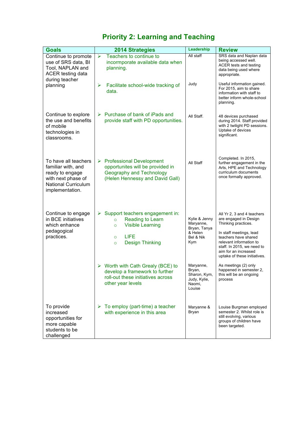## **Priority 2: Learning and Teaching**

| <b>Goals</b>                                                                                                                         | <b>2014 Strategies</b>                                                                                                                       | Leadership                                                              | <b>Review</b>                                                                                                                                                    |
|--------------------------------------------------------------------------------------------------------------------------------------|----------------------------------------------------------------------------------------------------------------------------------------------|-------------------------------------------------------------------------|------------------------------------------------------------------------------------------------------------------------------------------------------------------|
| Continue to promote<br>use of SRS data, BI<br>Tool, NAPLAN and<br><b>ACER</b> testing data<br>during teacher                         | Teachers to continue to<br>$\blacktriangleright$<br>incormporate available data when<br>planning.                                            | All staff                                                               | SRS data and Naplan data<br>being accessed well.<br><b>ACER</b> tests and testing<br>data being used where<br>appropriate.                                       |
| planning                                                                                                                             | ➤<br>Facilitate school-wide tracking of<br>data.                                                                                             | Judy                                                                    | Useful information gained.<br>For 2015, aim to share<br>information with staff to<br>better inform whole-school<br>planning.                                     |
| Continue to explore<br>the use and benefits<br>of mobile<br>technologies in<br>classrooms.                                           | $\triangleright$ Purchase of bank of iPads and<br>provide staff with PD opportunities.                                                       | All Staff.                                                              | 48 devices purchased<br>during 2014. Staff provided<br>with 2 twilight PD sessions.<br>Uptake of devices<br>significant.                                         |
| To have all teachers<br>familiar with, and<br>ready to engage<br>with next phase of<br><b>National Curriculum</b><br>implementation. | $\triangleright$ Professional Development<br>opportunites will be provided in<br>Geography and Technology<br>(Helen Hennessy and David Gall) | All Staff                                                               | Completed. In 2015,<br>further engagement in the<br>Arts, HPE and Technology<br>curriculum documents<br>once formally approved.                                  |
| Continue to engage<br>in BCE initiatives<br>which enhance                                                                            | $\triangleright$ Support teachers engagement in:<br>Reading to Learn<br>$\circ$<br><b>Visible Learning</b><br>$\circ$                        | Kylie & Jenny<br>Maryanne,<br>Bryan, Tanya                              | All Yr 2, 3 and 4 teachers<br>are engaged in Design<br>Thinking practices.                                                                                       |
| pedagogical<br>practices.                                                                                                            | LIFE<br>$\circ$<br><b>Design Thinking</b><br>$\circ$                                                                                         | & Helen<br>Bel & Nik<br>Kym                                             | In staff meetings, lead<br>teachers have shared<br>relevant information to<br>staff. In 2015, we need to<br>aim for an increased<br>uptake of these initiatives. |
|                                                                                                                                      | $\triangleright$ Worth with Cath Grealy (BCE) to<br>develop a framework to further<br>roll-out these initiatives across<br>other year levels | Maryanne,<br>Bryan,<br>Sharon, Kym,<br>Judy, Kylie,<br>Naomi,<br>Louise | As meetings (2) only<br>happened in semester 2,<br>this will be an ongoing<br>process                                                                            |
| To provide<br>increased<br>opportunities for<br>more capable<br>students to be<br>challenged                                         | To employ (part-time) a teacher<br>➤<br>with experience in this area                                                                         | Maryanne &<br>Bryan                                                     | Louise Burgman employed<br>semester 2. Whilst role is<br>still evolving, various<br>groups of children have<br>been targeted.                                    |